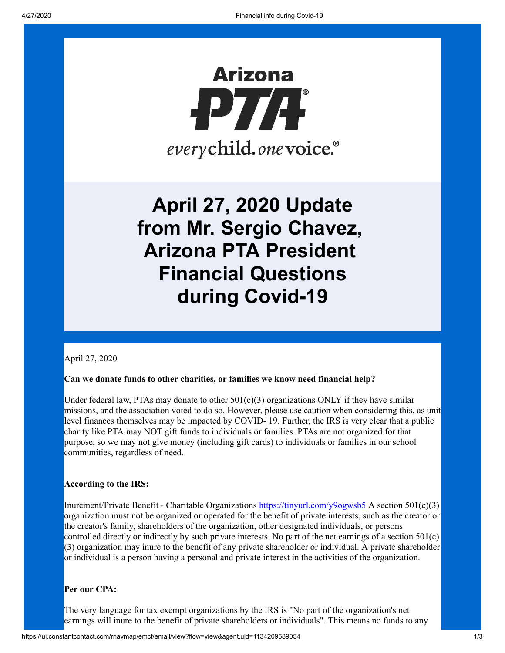

**April 27, 2020 Update from Mr. Sergio Chavez, Arizona PTA President Financial Questions during Covid-19**

April 27, 2020

#### **Can we donate funds to other charities, or families we know need financial help?**

Under federal law, PTAs may donate to other  $501(c)(3)$  organizations ONLY if they have similar missions, and the association voted to do so. However, please use caution when considering this, as unit level finances themselves may be impacted by COVID- 19. Further, the IRS is very clear that a public charity like PTA may NOT gift funds to individuals or families. PTAs are not organized for that purpose, so we may not give money (including gift cards) to individuals or families in our school communities, regardless of need.

#### **According to the IRS:**

Inurement/Private Benefit - Charitable Organizations  $\frac{https://tinyrl.com/y90gwsb5}{https://tinyurl.com/y90gwsb5}$  A section 501(c)(3) organization must not be organized or operated for the benefit of private interests, such as the creator or the creator's family, shareholders of the organization, other designated individuals, or persons controlled directly or indirectly by such private interests. No part of the net earnings of a section 501(c) (3) organization may inure to the benefit of any private shareholder or individual. A private shareholder or individual is a person having a personal and private interest in the activities of the organization.

#### **Per our CPA:**

The very language for tax exempt organizations by the IRS is "No part of the organization's net earnings will inure to the benefit of private shareholders or individuals". This means no funds to any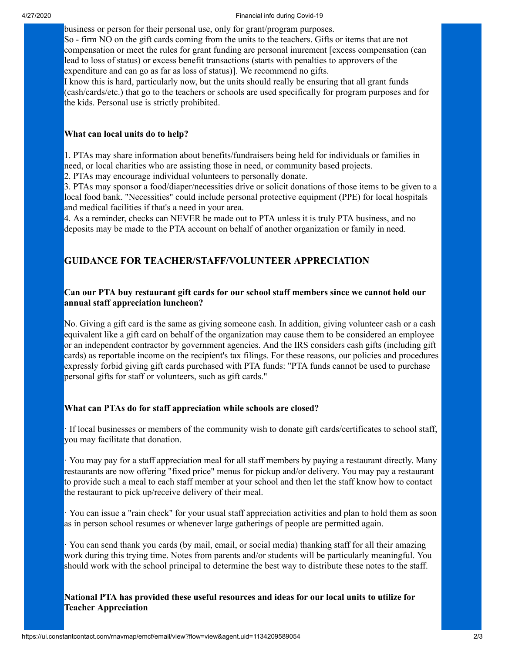business or person for their personal use, only for grant/program purposes. So - firm NO on the gift cards coming from the units to the teachers. Gifts or items that are not compensation or meet the rules for grant funding are personal inurement [excess compensation (can lead to loss of status) or excess benefit transactions (starts with penalties to approvers of the expenditure and can go as far as loss of status)]. We recommend no gifts.

I know this is hard, particularly now, but the units should really be ensuring that all grant funds (cash/cards/etc.) that go to the teachers or schools are used specifically for program purposes and for the kids. Personal use is strictly prohibited.

## **What can local units do to help?**

1. PTAs may share information about benefits/fundraisers being held for individuals or families in need, or local charities who are assisting those in need, or community based projects.

2. PTAs may encourage individual volunteers to personally donate.

3. PTAs may sponsor a food/diaper/necessities drive or solicit donations of those items to be given to a local food bank. "Necessities" could include personal protective equipment (PPE) for local hospitals and medical facilities if that's a need in your area.

4. As a reminder, checks can NEVER be made out to PTA unless it is truly PTA business, and no deposits may be made to the PTA account on behalf of another organization or family in need.

# **GUIDANCE FOR TEACHER/STAFF/VOLUNTEER APPRECIATION**

# **Can our PTA buy restaurant gift cards for our school staff members since we cannot hold our annual staff appreciation luncheon?**

No. Giving a gift card is the same as giving someone cash. In addition, giving volunteer cash or a cash equivalent like a gift card on behalf of the organization may cause them to be considered an employee or an independent contractor by government agencies. And the IRS considers cash gifts (including gift cards) as reportable income on the recipient's tax filings. For these reasons, our policies and procedures expressly forbid giving gift cards purchased with PTA funds: "PTA funds cannot be used to purchase personal gifts for staff or volunteers, such as gift cards."

### **What can PTAs do for staff appreciation while schools are closed?**

· If local businesses or members of the community wish to donate gift cards/certificates to school staff, you may facilitate that donation.

· You may pay for a staff appreciation meal for all staff members by paying a restaurant directly. Many restaurants are now offering "fixed price" menus for pickup and/or delivery. You may pay a restaurant to provide such a meal to each staff member at your school and then let the staff know how to contact the restaurant to pick up/receive delivery of their meal.

· You can issue a "rain check" for your usual staff appreciation activities and plan to hold them as soon as in person school resumes or whenever large gatherings of people are permitted again.

· You can send thank you cards (by mail, email, or social media) thanking staff for all their amazing work during this trying time. Notes from parents and/or students will be particularly meaningful. You should work with the school principal to determine the best way to distribute these notes to the staff.

**National PTA has provided these useful resources and ideas for our local units to utilize for Teacher Appreciation**